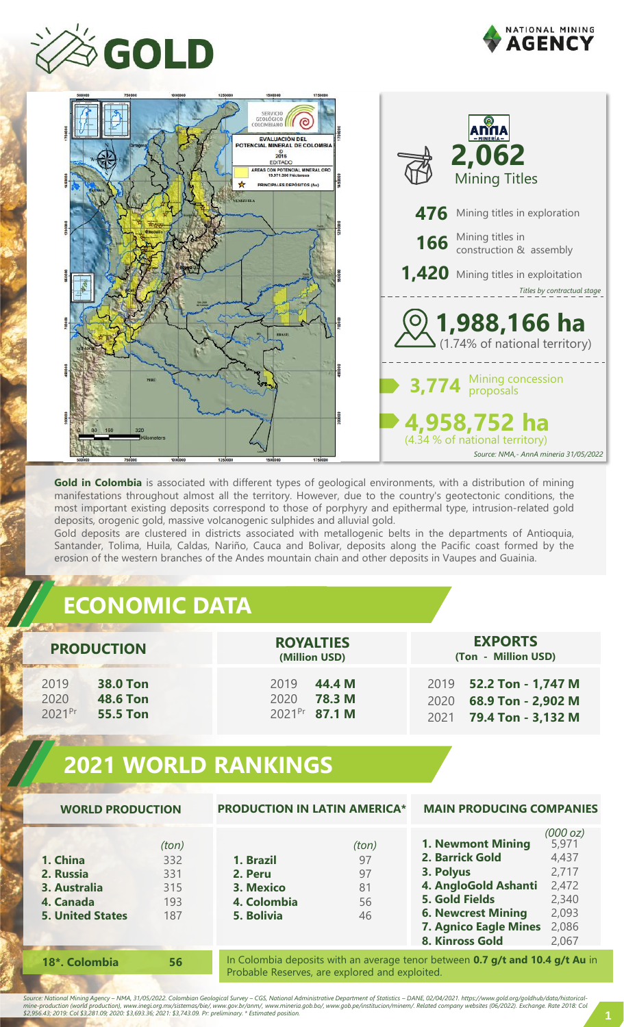





**Gold in Colombia** is associated with different types of geological environments, with a distribution of mining manifestations throughout almost all the territory. However, due to the country's geotectonic conditions, the most important existing deposits correspond to those of porphyry and epithermal type, intrusion-related gold deposits, orogenic gold, massive volcanogenic sulphides and alluvial gold.

Gold deposits are clustered in districts associated with metallogenic belts in the departments of Antioquia, Santander, Tolima, Huila, Caldas, Nariño, Cauca and Bolivar, deposits along the Pacific coast formed by the erosion of the western branches of the Andes mountain chain and other deposits in Vaupes and Guainia.

# **ECONOMIC DATA**

| <b>PRODUCTION</b>                                                               | <b>ROYALTIES</b><br>(Million USD)                                    | <b>EXPORTS</b><br>(Ton - Million USD)                                                   |
|---------------------------------------------------------------------------------|----------------------------------------------------------------------|-----------------------------------------------------------------------------------------|
| 2019<br><b>38.0 Ton</b><br>2020<br><b>48.6 Ton</b><br>2021Pr<br><b>55.5 Ton</b> | 2019<br>44.4 M<br><b>78.3 M</b><br>2020<br>2021 <sup>Pr</sup> 87.1 M | 2019 <b>52.2 Ton - 1,747 M</b><br>68.9 Ton - 2,902 M<br>2020<br>2021 79.4 Ton - 3,132 M |

# **2021 WORLD RANKINGS**

| <b>WORLD PRODUCTION</b>                                                       |                                          | <b>PRODUCTION IN LATIN AMERICA*</b>                            |                                     | <b>MAIN PRODUCING COMPANIES</b>                                                                                                                                                           |                                                                                  |
|-------------------------------------------------------------------------------|------------------------------------------|----------------------------------------------------------------|-------------------------------------|-------------------------------------------------------------------------------------------------------------------------------------------------------------------------------------------|----------------------------------------------------------------------------------|
| 1. China<br>2. Russia<br>3. Australia<br>4. Canada<br><b>5. United States</b> | (ton)<br>332<br>331<br>315<br>193<br>187 | 1. Brazil<br>2. Peru<br>3. Mexico<br>4. Colombia<br>5. Bolivia | (ton)<br>97<br>97<br>81<br>56<br>46 | <b>1. Newmont Mining</b><br>2. Barrick Gold<br>3. Polyus<br>4. AngloGold Ashanti<br><b>5. Gold Fields</b><br><b>6. Newcrest Mining</b><br><b>7. Agnico Eagle Mines</b><br>8. Kinross Gold | (000 oz)<br>5,971<br>4,437<br>2,717<br>2,472<br>2,340<br>2,093<br>2,086<br>2,067 |
| 18*. Colombia                                                                 | 56                                       |                                                                |                                     | In Colombia deposits with an average tenor between 0.7 g/t and 10.4 g/t Au in                                                                                                             |                                                                                  |

In Colombia deposits with an average tenor between **0.7 g/t and 10.4 g/t Au** in Probable Reserves, are explored and exploited.

Source: National Mining Agency – NMA, 31/05/2022. Colombian Geological Survey – CGS, National Administrative Department of Statistics – DANE, 02/04/2021. https://www.gold.org/goldhub/data/historical-<br>mine-production (world

mine-production (world production), www.inegl.org.mx/sistemas/bie/, www.gov.br/anm/, www.mineria.gob.bo/, www.gob.pe/institucion/mi<br>\$2,956.43; 2019: Col \$3,281.09; 2020: \$3,693.36; 2021: \$3,743.09. Pr: preliminary. \* Estim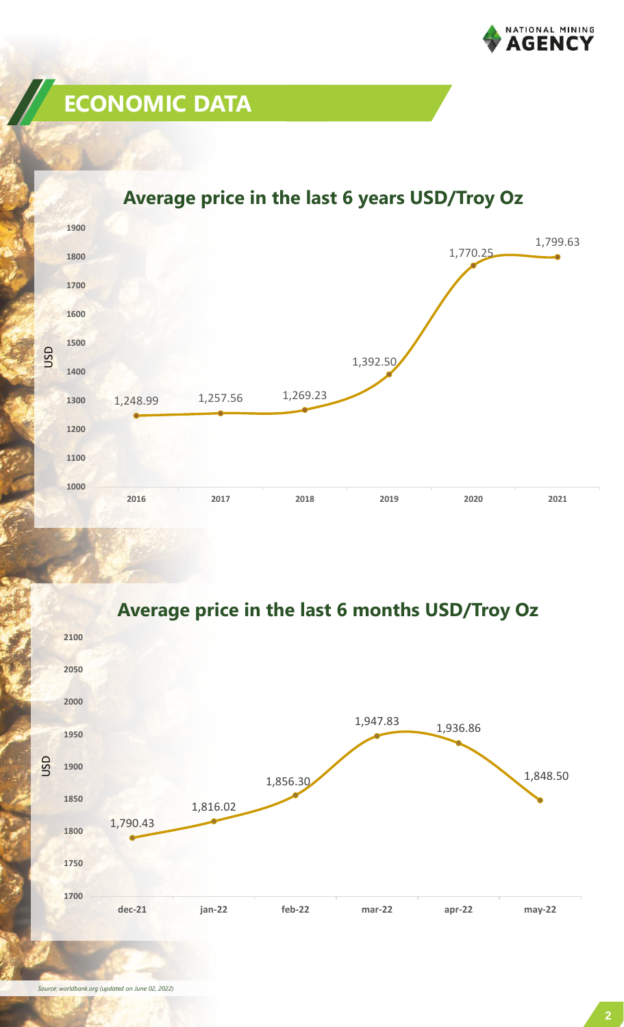

# **ECONOMIC DATA**

#### 1,248.99 1,257.56 1,269.23 1,392.50 1,770.25 1,799.63 **1000 1100 1200 1300 1400 1500 1600 1700 1800 1900 2016 2017 2018 2019 2020 2021** USD

### **Average price in the last 6 years USD/Troy Oz**



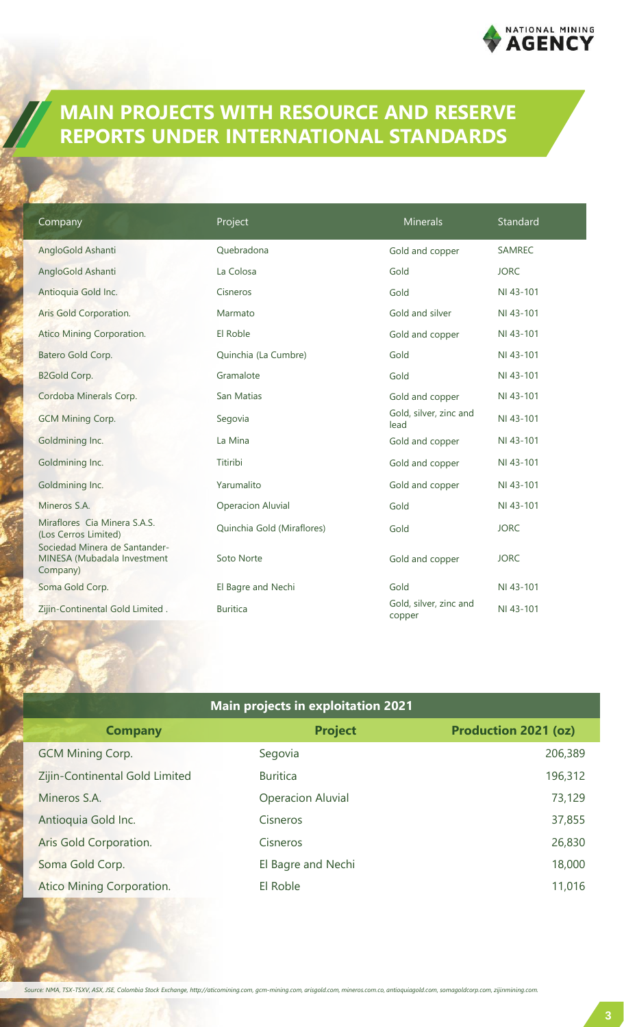

## **MAIN PROJECTS WITH RESOURCE AND RESERVE REPORTS UNDER INTERNATIONAL STANDARDS**

| Company                                                                               | Project                    | <b>Minerals</b>                  | Standard      |
|---------------------------------------------------------------------------------------|----------------------------|----------------------------------|---------------|
| AngloGold Ashanti                                                                     | Ouebradona                 | Gold and copper                  | <b>SAMREC</b> |
| AngloGold Ashanti                                                                     | La Colosa                  | Gold                             | <b>JORC</b>   |
| Antioquia Gold Inc.                                                                   | Cisneros                   | Gold                             | NI 43-101     |
| Aris Gold Corporation.                                                                | Marmato                    | Gold and silver                  | NI 43-101     |
| Atico Mining Corporation.                                                             | El Roble                   | Gold and copper                  | NI 43-101     |
| Batero Gold Corp.                                                                     | Quinchia (La Cumbre)       | Gold                             | NI 43-101     |
| <b>B2Gold Corp.</b>                                                                   | Gramalote                  | Gold                             | NI 43-101     |
| Cordoba Minerals Corp.                                                                | San Matias                 | Gold and copper                  | NI 43-101     |
| <b>GCM Mining Corp.</b>                                                               | Segovia                    | Gold, silver, zinc and<br>lead   | NI 43-101     |
| Goldmining Inc.                                                                       | La Mina                    | Gold and copper                  | NI 43-101     |
| Goldmining Inc.                                                                       | Titiribi                   | Gold and copper                  | NI 43-101     |
| Goldmining Inc.                                                                       | Yarumalito                 | Gold and copper                  | NI 43-101     |
| Mineros S.A.                                                                          | <b>Operacion Aluvial</b>   | Gold                             | NI 43-101     |
| Miraflores Cia Minera S.A.S.<br>(Los Cerros Limited)<br>Sociedad Minera de Santander- | Quinchia Gold (Miraflores) | Gold                             | <b>JORC</b>   |
| MINESA (Mubadala Investment<br>Company)                                               | Soto Norte                 | Gold and copper                  | <b>JORC</b>   |
| Soma Gold Corp.                                                                       | El Bagre and Nechi         | Gold                             | NI 43-101     |
| Zijin-Continental Gold Limited.                                                       | <b>Buritica</b>            | Gold, silver, zinc and<br>copper | NI 43-101     |

| <b>Main projects in exploitation 2021</b> |                          |                             |  |
|-------------------------------------------|--------------------------|-----------------------------|--|
| <b>Company</b>                            | <b>Project</b>           | <b>Production 2021 (oz)</b> |  |
| <b>GCM Mining Corp.</b>                   | Segovia                  | 206,389                     |  |
| Zijin-Continental Gold Limited            | <b>Buritica</b>          | 196,312                     |  |
| Mineros S.A.                              | <b>Operacion Aluvial</b> | 73,129                      |  |
| Antioquia Gold Inc.                       | Cisneros                 | 37,855                      |  |
| Aris Gold Corporation.                    | Cisneros                 | 26,830                      |  |
| Soma Gold Corp.                           | El Bagre and Nechi       | 18,000                      |  |
| Atico Mining Corporation.                 | El Roble                 | 11,016                      |  |